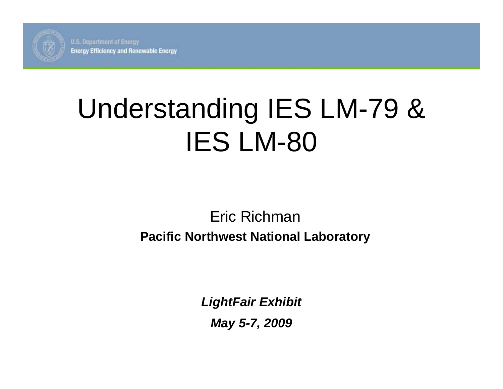

**U.S. Department of Energy Energy Efficiency and Renewable Energy** 

# Understanding IES LM-79 & IES LM-80

#### Eric Richman

#### **Pacific Northwest National Laboratory**

*LightFair Exhibit May 5-7, 2009*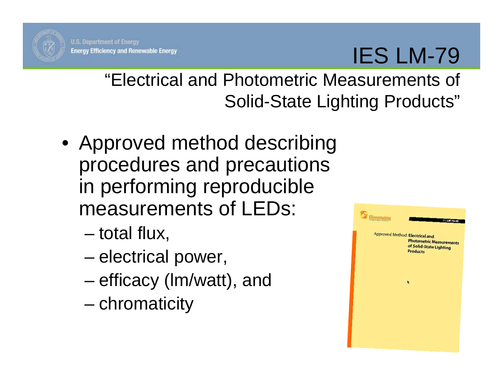

### IES LM-79

"Electrical and Photometric Measurements of Solid-State Lighting Products"

- Approved method describing procedures and precautions in performing reproducible measurements of LEDs:
	- total flux,
	- electrical power,
	- efficacy (lm/watt), and
	- chromaticity

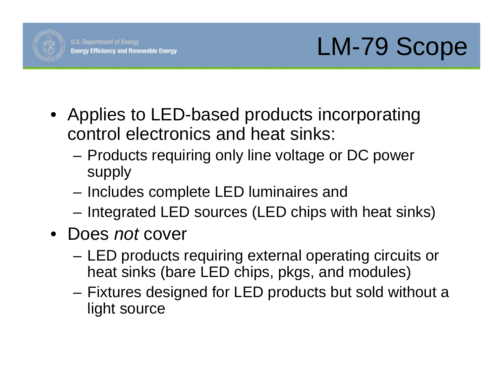

- Applies to LED-based products incorporating control electronics and heat sinks:
	- Products requiring only line voltage or DC power supply
	- Includes complete LED luminaires and
	- Integrated LED sources (LED chips with heat sinks)
- Does *not* cover
	- LED products requiring external operating circuits or heat sinks (bare LED chips, pkgs, and modules)
	- Fixtures designed for LED products but sold without a light source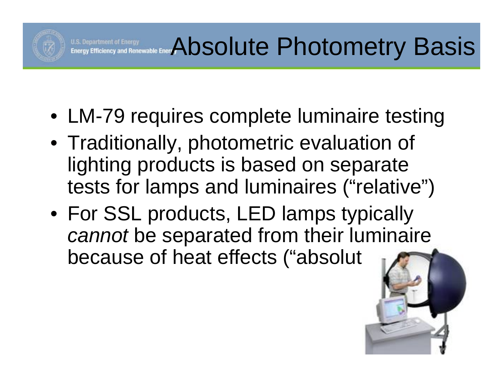

- LM-79 requires complete luminaire testing
- Traditionally, photometric evaluation of lighting products is based on separate tests for lamps and luminaires ("relative")
- For SSL products, LED lamps typically *cannot* be separated from their luminaire because of heat effects ("absolut

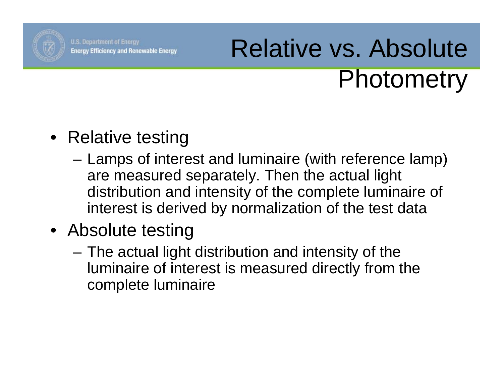

# Relative vs. Absolute Photometry

### • Relative testing

- Lamps of interest and luminaire (with reference lamp) are measured separately. Then the actual light distribution and intensity of the complete luminaire of interest is derived by normalization of the test data
- Absolute testing
	- The actual light distribution and intensity of the luminaire of interest is measured directly from the complete luminaire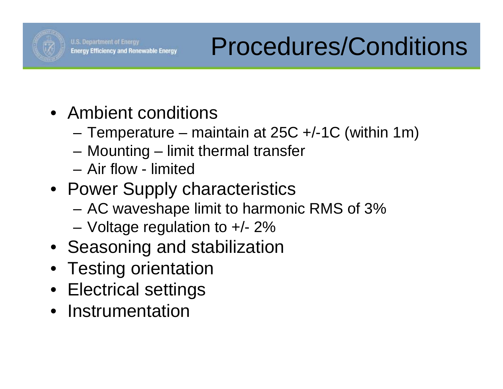

- Ambient conditions
	- Temperature maintain at  $25C +1C$  (within 1m)
	- Mounting limit thermal transfer
	- Air flow limited
- Power Supply characteristics
	- AC waveshape limit to harmonic RMS of 3%
	- Voltage regulation to +/- 2%
- Seasoning and stabilization
- Testing orientation
- Electrical settings
- Instrumentation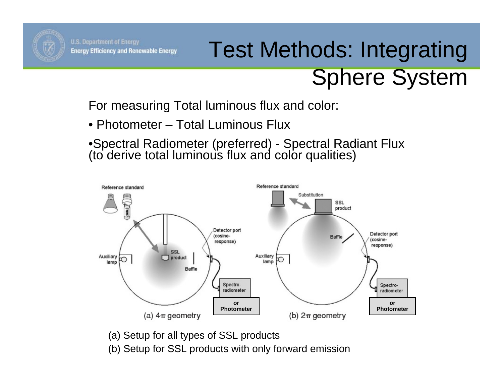

## Test Methods: Integrating Sphere System

For measuring Total luminous flux and color:

• Photometer – Total Luminous Flux

•Spectral Radiometer (preferred) - Spectral Radiant Flux (to derive total luminous flux and color qualities)



(a) Setup for all types of SSL products

(b) Setup for SSL products with only forward emission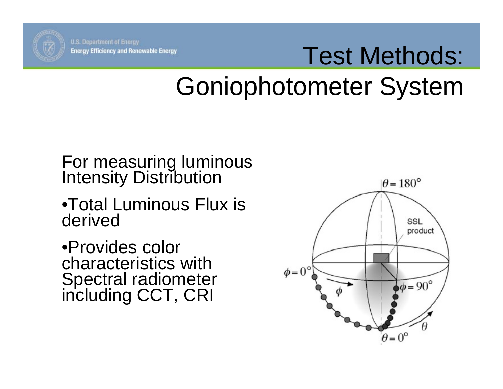

# Test Methods: Goniophotometer System

For measuring luminous Intensity Distribution

•Total Luminous Flux is derived

•Provides color characteristics with Spectral radiometer including CCT, CRI

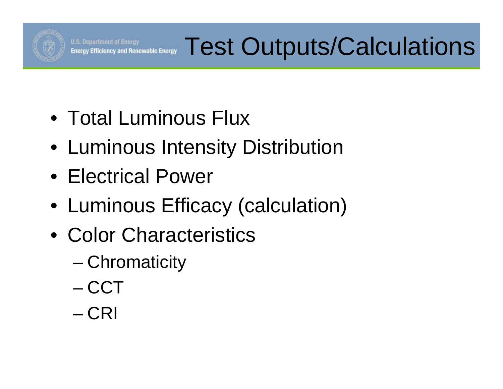

- Total Luminous Flux
- Luminous Intensity Distribution
- Electrical Power
- Luminous Efficacy (calculation)
- Color Characteristics
	- Chromaticity
	- CCT
	- CRI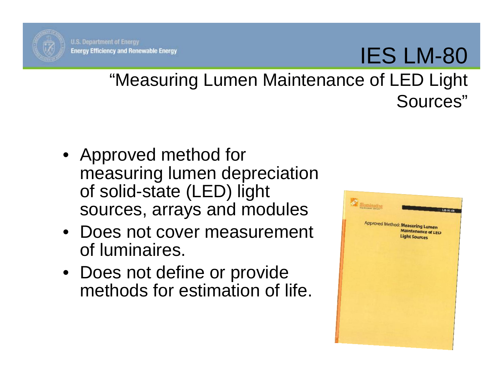

## IES LM-80

#### "Measuring Lumen Maintenance of LED Light Sources"

- Approved method for measuring lumen depreciation of solid-state (LED) light sources, arrays and modules
- Does not cover measurement of luminaires.
- Does not define or provide methods for estimation of life.

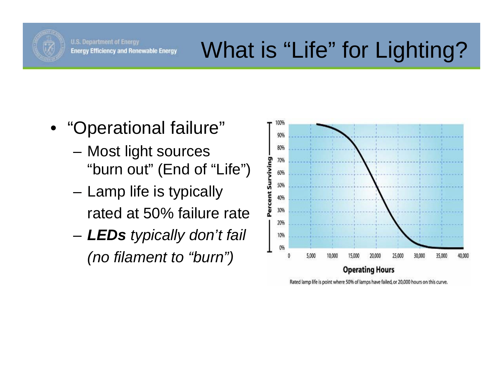

- "Operational failure"
	- Most light sources "burn out" (End of "Life")
	- Lamp life is typically rated at 50% failure rate
	- *LEDs typically don't fail (no filament to "burn")*



Rated lamp life is point where 50% of lamps have failed, or 20,000 hours on this curve.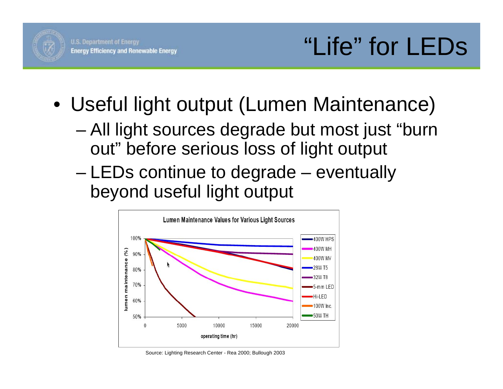

- Useful light output (Lumen Maintenance)
	- All light sources degrade but most just "burn out" before serious loss of light output
	- LEDs continue to degrade eventually beyond useful light output



Source: Lighting Research Center - Rea 2000; Bullough 2003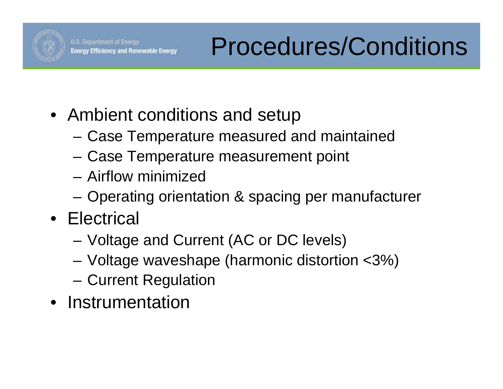

- Ambient conditions and setup
	- Case Temperature measured and maintained
	- Case Temperature measurement point
	- Airflow minimized
	- Operating orientation & spacing per manufacturer
- Electrical
	- Voltage and Current (AC or DC levels)
	- Voltage waveshape (harmonic distortion <3%)
	- Current Regulation
- Instrumentation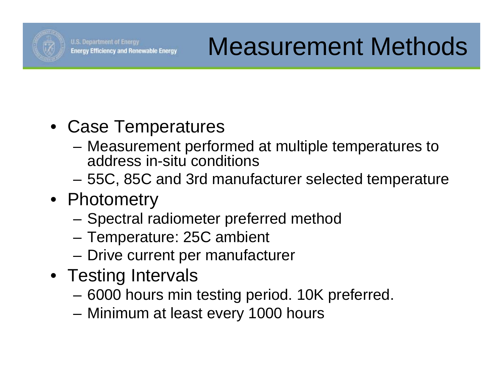

- Case Temperatures
	- Measurement performed at multiple temperatures to address in-situ conditions
	- 55C, 85C and 3rd manufacturer selected temperature
- Photometry
	- Spectral radiometer preferred method
	- Temperature: 25C ambient
	- Drive current per manufacturer
- Testing Intervals
	- 6000 hours min testing period. 10K preferred.
	- Minimum at least every 1000 hours